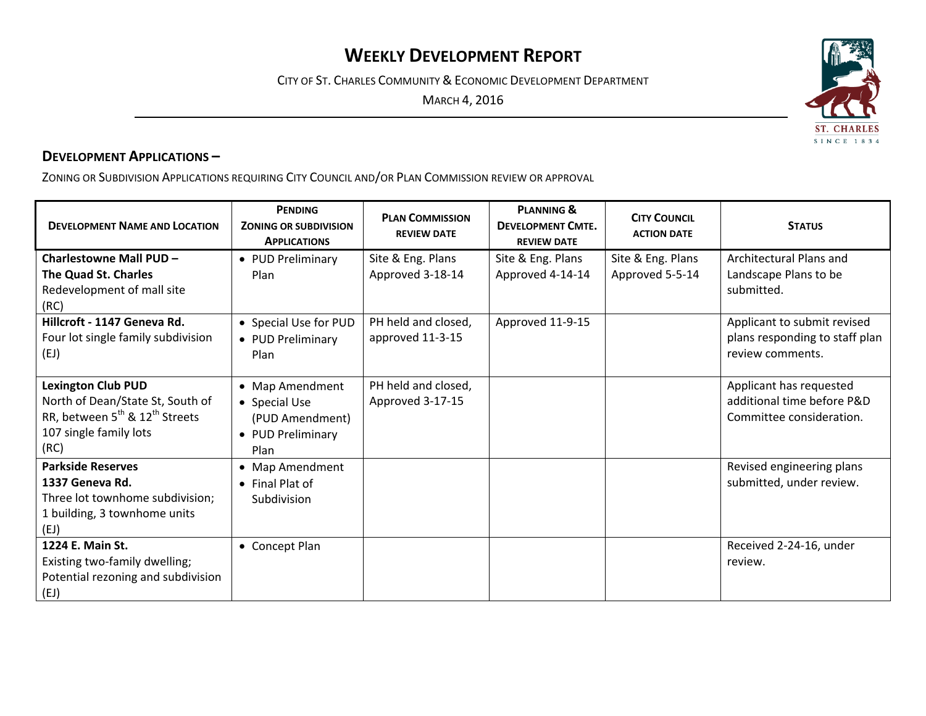## **WEEKLY DEVELOPMENT REPORT**

CITY OF ST. CHARLES COMMUNITY & ECONOMIC DEVELOPMENT DEPARTMENT

MARCH 4, 2016



ZONING OR SUBDIVISION APPLICATIONS REQUIRING CITY COUNCIL AND/OR PLAN COMMISSION REVIEW OR APPROVAL

| <b>DEVELOPMENT NAME AND LOCATION</b>                                                                                                                      | <b>PENDING</b><br><b>ZONING OR SUBDIVISION</b><br><b>APPLICATIONS</b>            | <b>PLAN COMMISSION</b><br><b>REVIEW DATE</b> | <b>PLANNING &amp;</b><br><b>DEVELOPMENT CMTE.</b><br><b>REVIEW DATE</b> | <b>CITY COUNCIL</b><br><b>ACTION DATE</b> | <b>STATUS</b>                                                                     |
|-----------------------------------------------------------------------------------------------------------------------------------------------------------|----------------------------------------------------------------------------------|----------------------------------------------|-------------------------------------------------------------------------|-------------------------------------------|-----------------------------------------------------------------------------------|
| Charlestowne Mall PUD -<br>The Quad St. Charles<br>Redevelopment of mall site                                                                             | • PUD Preliminary<br>Plan                                                        | Site & Eng. Plans<br>Approved 3-18-14        | Site & Eng. Plans<br>Approved 4-14-14                                   | Site & Eng. Plans<br>Approved 5-5-14      | Architectural Plans and<br>Landscape Plans to be<br>submitted.                    |
| (RC)                                                                                                                                                      |                                                                                  |                                              |                                                                         |                                           |                                                                                   |
| Hillcroft - 1147 Geneva Rd.<br>Four lot single family subdivision<br>(EJ)                                                                                 | • Special Use for PUD<br>• PUD Preliminary<br>Plan                               | PH held and closed,<br>approved 11-3-15      | Approved 11-9-15                                                        |                                           | Applicant to submit revised<br>plans responding to staff plan<br>review comments. |
| <b>Lexington Club PUD</b><br>North of Dean/State St, South of<br>RR, between 5 <sup>th</sup> & 12 <sup>th</sup> Streets<br>107 single family lots<br>(RC) | • Map Amendment<br>• Special Use<br>(PUD Amendment)<br>• PUD Preliminary<br>Plan | PH held and closed,<br>Approved 3-17-15      |                                                                         |                                           | Applicant has requested<br>additional time before P&D<br>Committee consideration. |
| <b>Parkside Reserves</b><br>1337 Geneva Rd.<br>Three lot townhome subdivision;<br>1 building, 3 townhome units<br>(EJ)                                    | • Map Amendment<br>• Final Plat of<br>Subdivision                                |                                              |                                                                         |                                           | Revised engineering plans<br>submitted, under review.                             |
| 1224 E. Main St.<br>Existing two-family dwelling;<br>Potential rezoning and subdivision<br>(EJ)                                                           | • Concept Plan                                                                   |                                              |                                                                         |                                           | Received 2-24-16, under<br>review.                                                |

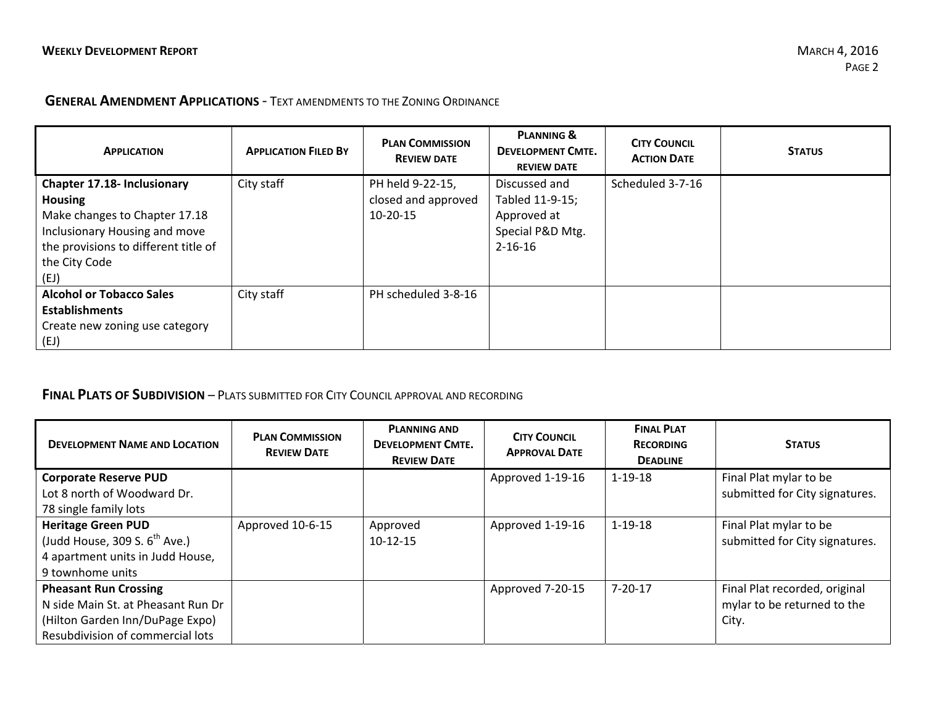## **GENERAL AMENDMENT APPLICATIONS** ‐ TEXT AMENDMENTS TO THE ZONING ORDINANCE

| <b>APPLICATION</b>                   | <b>APPLICATION FILED BY</b> | <b>PLAN COMMISSION</b><br><b>REVIEW DATE</b> | <b>PLANNING &amp;</b><br><b>DEVELOPMENT CMTE.</b><br><b>REVIEW DATE</b> | <b>CITY COUNCIL</b><br><b>ACTION DATE</b> | <b>STATUS</b> |
|--------------------------------------|-----------------------------|----------------------------------------------|-------------------------------------------------------------------------|-------------------------------------------|---------------|
| <b>Chapter 17.18- Inclusionary</b>   | City staff                  | PH held 9-22-15,                             | Discussed and                                                           | Scheduled 3-7-16                          |               |
| Housing                              |                             | closed and approved                          | Tabled 11-9-15;                                                         |                                           |               |
| Make changes to Chapter 17.18        |                             | $10-20-15$                                   | Approved at                                                             |                                           |               |
| Inclusionary Housing and move        |                             |                                              | Special P&D Mtg.                                                        |                                           |               |
| the provisions to different title of |                             |                                              | $2 - 16 - 16$                                                           |                                           |               |
| the City Code                        |                             |                                              |                                                                         |                                           |               |
| (EJ)                                 |                             |                                              |                                                                         |                                           |               |
| <b>Alcohol or Tobacco Sales</b>      | City staff                  | PH scheduled 3-8-16                          |                                                                         |                                           |               |
| <b>Establishments</b>                |                             |                                              |                                                                         |                                           |               |
| Create new zoning use category       |                             |                                              |                                                                         |                                           |               |
| (EJ)                                 |                             |                                              |                                                                         |                                           |               |

## **FINAL PLATS OF SUBDIVISION** – PLATS SUBMITTED FOR CITY COUNCIL APPROVAL AND RECORDING

| <b>DEVELOPMENT NAME AND LOCATION</b>      | <b>PLAN COMMISSION</b><br><b>REVIEW DATE</b> | <b>PLANNING AND</b><br><b>DEVELOPMENT CMTE.</b><br><b>REVIEW DATE</b> | <b>CITY COUNCIL</b><br><b>APPROVAL DATE</b> | <b>FINAL PLAT</b><br><b>RECORDING</b><br><b>DEADLINE</b> | <b>STATUS</b>                  |
|-------------------------------------------|----------------------------------------------|-----------------------------------------------------------------------|---------------------------------------------|----------------------------------------------------------|--------------------------------|
| <b>Corporate Reserve PUD</b>              |                                              |                                                                       | Approved 1-19-16                            | $1 - 19 - 18$                                            | Final Plat mylar to be         |
| Lot 8 north of Woodward Dr.               |                                              |                                                                       |                                             |                                                          | submitted for City signatures. |
| 78 single family lots                     |                                              |                                                                       |                                             |                                                          |                                |
| <b>Heritage Green PUD</b>                 | Approved 10-6-15                             | Approved                                                              | Approved 1-19-16                            | $1 - 19 - 18$                                            | Final Plat mylar to be         |
| (Judd House, 309 S. $6^{\text{th}}$ Ave.) |                                              | $10-12-15$                                                            |                                             |                                                          | submitted for City signatures. |
| 4 apartment units in Judd House,          |                                              |                                                                       |                                             |                                                          |                                |
| 9 townhome units                          |                                              |                                                                       |                                             |                                                          |                                |
| <b>Pheasant Run Crossing</b>              |                                              |                                                                       | Approved 7-20-15                            | $7 - 20 - 17$                                            | Final Plat recorded, original  |
| N side Main St. at Pheasant Run Dr        |                                              |                                                                       |                                             |                                                          | mylar to be returned to the    |
| (Hilton Garden Inn/DuPage Expo)           |                                              |                                                                       |                                             |                                                          | City.                          |
| Resubdivision of commercial lots          |                                              |                                                                       |                                             |                                                          |                                |